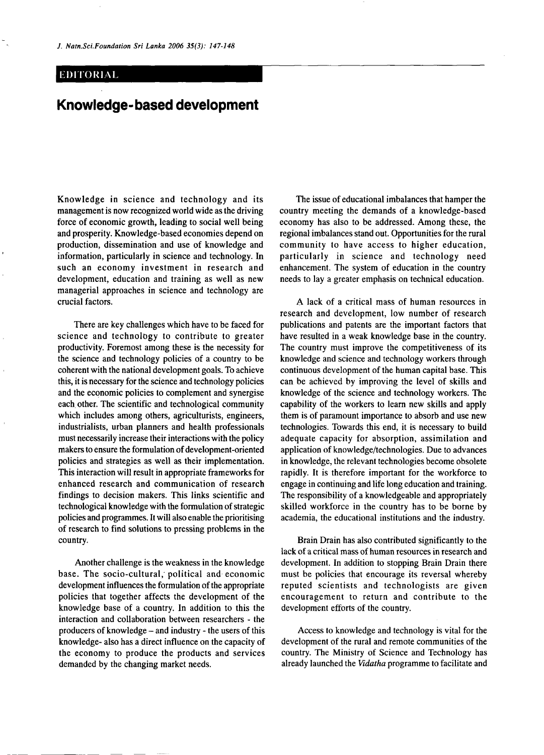## **EDITORIAL**

## **Knowledge-based development**

Knowledge in science and technology and its management is now recognized world wide as the driving force of economic growth, leading to social well being and prosperity. Knowledge-based economies depend on production, dissemination and use of knowledge and information, particularly in science and technology. In such an economy investment in research and development, education and training as well as new managerial approaches in science and technology are crucial factors.

There are key challenges which have to be faced for science and technology to contribute to greater productivity. Foremost among these is the necessity for the science and technology policies of a country to be coherent with the national development goals. To achieve this, it is necessary for the science and technology policies and the economic policies to complement and synergise each other. The scientific and technological community which includes among others, agriculturists, engineers, industrialists, urban planners and health professionals must necessarily increase their interactions with the policy makers to ensure the formulation of development-oriented policies and strategies as well as their implementation. This interaction will result in appropriate frameworks for enhanced research and communication of research findings to decision makers. This links scientific and technological knowledge with the formulation of strategic policies and programmes. It will also enable the prioritising of research to find solutions to pressing problems in the country.

Another challenge is the weakness in the knowledge base. The socio-cultural, political and economic development influences the formulation of the appropriate policies that together affects the development of the knowledge base of a country. In addition to this the interaction and collaboration between researchers - the producers of knowledge - and industry - the users of this knowledge- also has a direct influence on the capacity of the economy to produce the products and services demanded by the changing market needs.

The issue of educational imbalances that hamper the country meeting the demands of a knowledge-based economy has also to be addressed. Among these, the regional imbalances stand out. Opportunities for the rural community to have access to higher education, particularly in science and technology need enhancement. The system of education in the country needs to lay a greater emphasis on technical education.

A lack of a critical mass of human resources in research and development, low number of research publications and patents are the important factors that have resulted in a weak knowledge base in the country. The country must improve the competitiveness of its knowledge and science and technology workers through continuous development of the human capital base. This can be achieved by improving the level of skills and knowledge of the science and technology workers. The capability of the workers to learn new skills and apply them is of paramount importance to absorb and use new technologies. Towards this end, it is necessary to build adequate capacity for absorption, assimilation and application of knowledge/technologies. Due to advances in knowledge, the relevant technologies become obsolete rapidly. It is therefore important for the workforce to engage in continuing and life long education and training. The responsibility of a knowledgeable and appropriately skilled workforce in the country has to be borne by academia, the educational institutions and the industry.

Brain Drain has also contributed significantly to the lack of a critical mass of human resources in research and development. In addition to stopping Brain Drain there must be policies that encourage its reversal whereby reputed scientists and technologists are given encouragement to return and contribute to the development efforts of the country.

Access to knowledge and technology is vital for the development of the rural and remote communities of the country. The Ministry of Science and Technology has already launched the *Vidatha* programme to facilitate and